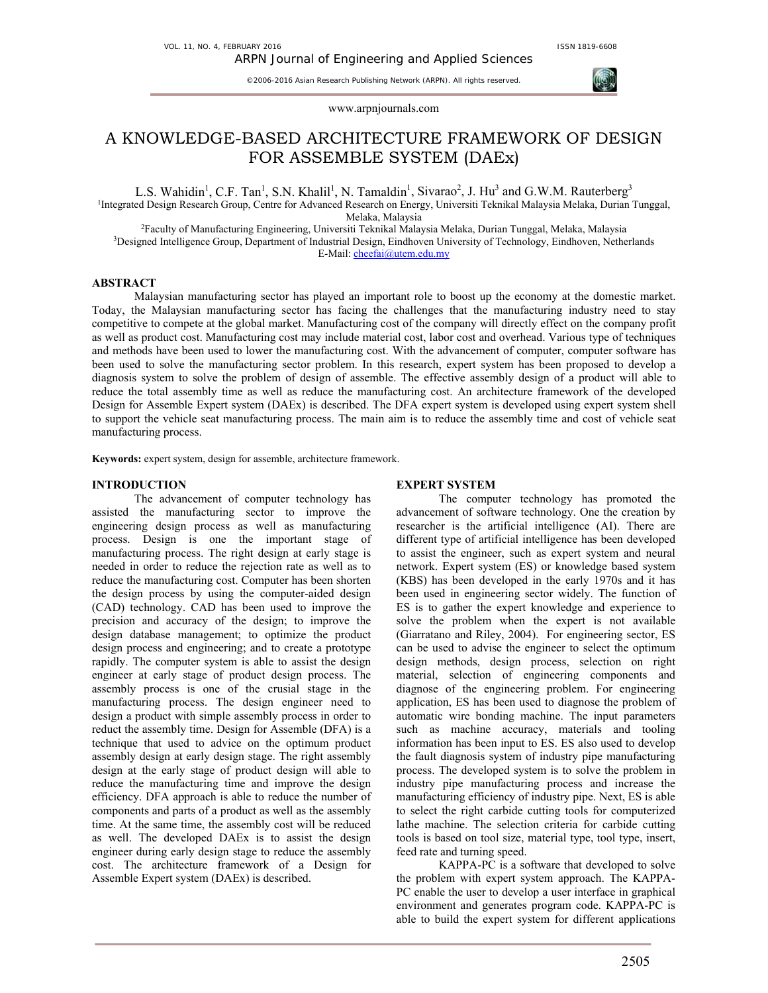©2006-2016 Asian Research Publishing Network (ARPN). All rights reserved.



### www.arpnjournals.com

# A KNOWLEDGE-BASED ARCHITECTURE FRAMEWORK OF DESIGN FOR ASSEMBLE SYSTEM (DAEx)

L.S. Wahidin<sup>1</sup>, C.F. Tan<sup>1</sup>, S.N. Khalil<sup>1</sup>, N. Tamaldin<sup>1</sup>, Sivarao<sup>2</sup>, J. Hu<sup>3</sup> and G.W.M. Rauterberg<sup>3</sup>

1 Integrated Design Research Group, Centre for Advanced Research on Energy, Universiti Teknikal Malaysia Melaka, Durian Tunggal,

Melaka, Malaysia<br><sup>2</sup>Faculty of Manufacturing Engineering, Universiti Teknikal Malaysia Melaka, Durian Tunggal, Melaka, Malaysia<br>3Designed Intelligence Group, Department of Industrial Design, Eindhoven University of Technol E-Mail: cheefai@utem.edu.my

# **ABSTRACT**

 Malaysian manufacturing sector has played an important role to boost up the economy at the domestic market. Today, the Malaysian manufacturing sector has facing the challenges that the manufacturing industry need to stay competitive to compete at the global market. Manufacturing cost of the company will directly effect on the company profit as well as product cost. Manufacturing cost may include material cost, labor cost and overhead. Various type of techniques and methods have been used to lower the manufacturing cost. With the advancement of computer, computer software has been used to solve the manufacturing sector problem. In this research, expert system has been proposed to develop a diagnosis system to solve the problem of design of assemble. The effective assembly design of a product will able to reduce the total assembly time as well as reduce the manufacturing cost. An architecture framework of the developed Design for Assemble Expert system (DAEx) is described. The DFA expert system is developed using expert system shell to support the vehicle seat manufacturing process. The main aim is to reduce the assembly time and cost of vehicle seat manufacturing process.

**Keywords:** expert system, design for assemble, architecture framework.

#### **INTRODUCTION**

The advancement of computer technology has assisted the manufacturing sector to improve the engineering design process as well as manufacturing process. Design is one the important stage of manufacturing process. The right design at early stage is needed in order to reduce the rejection rate as well as to reduce the manufacturing cost. Computer has been shorten the design process by using the computer-aided design (CAD) technology. CAD has been used to improve the precision and accuracy of the design; to improve the design database management; to optimize the product design process and engineering; and to create a prototype rapidly. The computer system is able to assist the design engineer at early stage of product design process. The assembly process is one of the crusial stage in the manufacturing process. The design engineer need to design a product with simple assembly process in order to reduct the assembly time. Design for Assemble (DFA) is a technique that used to advice on the optimum product assembly design at early design stage. The right assembly design at the early stage of product design will able to reduce the manufacturing time and improve the design efficiency. DFA approach is able to reduce the number of components and parts of a product as well as the assembly time. At the same time, the assembly cost will be reduced as well. The developed DAEx is to assist the design engineer during early design stage to reduce the assembly cost. The architecture framework of a Design for Assemble Expert system (DAEx) is described.

# **EXPERT SYSTEM**

The computer technology has promoted the advancement of software technology. One the creation by researcher is the artificial intelligence (AI). There are different type of artificial intelligence has been developed to assist the engineer, such as expert system and neural network. Expert system (ES) or knowledge based system (KBS) has been developed in the early 1970s and it has been used in engineering sector widely. The function of ES is to gather the expert knowledge and experience to solve the problem when the expert is not available (Giarratano and Riley, 2004). For engineering sector, ES can be used to advise the engineer to select the optimum design methods, design process, selection on right material, selection of engineering components and diagnose of the engineering problem. For engineering application, ES has been used to diagnose the problem of automatic wire bonding machine. The input parameters such as machine accuracy, materials and tooling information has been input to ES. ES also used to develop the fault diagnosis system of industry pipe manufacturing process. The developed system is to solve the problem in industry pipe manufacturing process and increase the manufacturing efficiency of industry pipe. Next, ES is able to select the right carbide cutting tools for computerized lathe machine. The selection criteria for carbide cutting tools is based on tool size, material type, tool type, insert, feed rate and turning speed.

KAPPA-PC is a software that developed to solve the problem with expert system approach. The KAPPA-PC enable the user to develop a user interface in graphical environment and generates program code. KAPPA-PC is able to build the expert system for different applications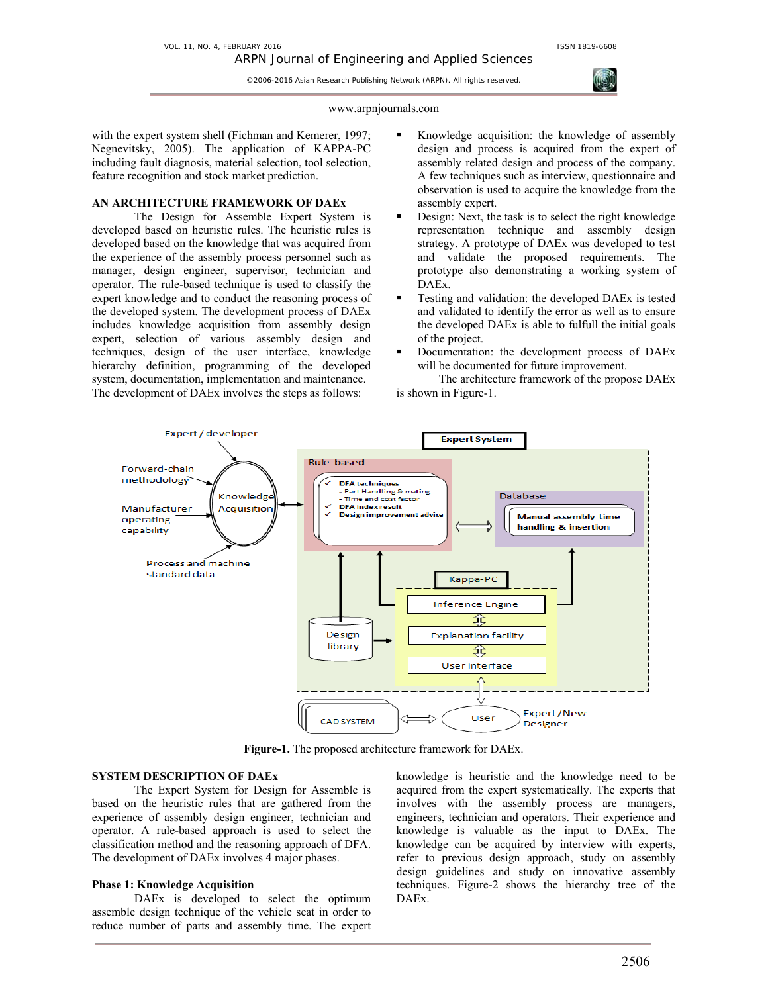©2006-2016 Asian Research Publishing Network (ARPN). All rights reserved.

#### www.arpnjournals.com

with the expert system shell (Fichman and Kemerer, 1997; Negnevitsky, 2005). The application of KAPPA-PC including fault diagnosis, material selection, tool selection, feature recognition and stock market prediction.

# **AN ARCHITECTURE FRAMEWORK OF DAEx**

The Design for Assemble Expert System is developed based on heuristic rules. The heuristic rules is developed based on the knowledge that was acquired from the experience of the assembly process personnel such as manager, design engineer, supervisor, technician and operator. The rule-based technique is used to classify the expert knowledge and to conduct the reasoning process of the developed system. The development process of DAEx includes knowledge acquisition from assembly design expert, selection of various assembly design and techniques, design of the user interface, knowledge hierarchy definition, programming of the developed system, documentation, implementation and maintenance. The development of DAEx involves the steps as follows:

- Knowledge acquisition: the knowledge of assembly design and process is acquired from the expert of assembly related design and process of the company. A few techniques such as interview, questionnaire and observation is used to acquire the knowledge from the assembly expert.
- Design: Next, the task is to select the right knowledge representation technique and assembly design strategy. A prototype of DAEx was developed to test and validate the proposed requirements. The prototype also demonstrating a working system of DAEx.
- Testing and validation: the developed DAEx is tested and validated to identify the error as well as to ensure the developed DAEx is able to fulfull the initial goals of the project.
- Documentation: the development process of DAEx will be documented for future improvement.

The architecture framework of the propose DAEx is shown in Figure-1.



**Figure-1.** The proposed architecture framework for DAEx.

# **SYSTEM DESCRIPTION OF DAEx**

The Expert System for Design for Assemble is based on the heuristic rules that are gathered from the experience of assembly design engineer, technician and operator. A rule-based approach is used to select the classification method and the reasoning approach of DFA. The development of DAEx involves 4 major phases.

# **Phase 1: Knowledge Acquisition**

DAEx is developed to select the optimum assemble design technique of the vehicle seat in order to reduce number of parts and assembly time. The expert knowledge is heuristic and the knowledge need to be acquired from the expert systematically. The experts that involves with the assembly process are managers, engineers, technician and operators. Their experience and knowledge is valuable as the input to DAEx. The knowledge can be acquired by interview with experts, refer to previous design approach, study on assembly design guidelines and study on innovative assembly techniques. Figure-2 shows the hierarchy tree of the DAEx.